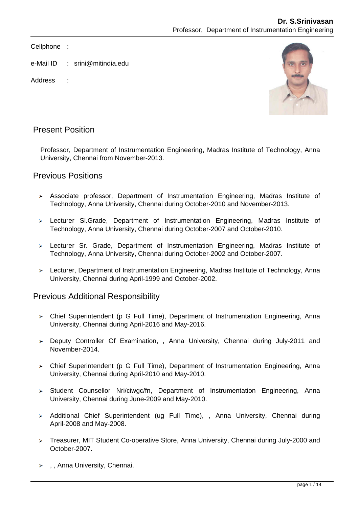Cellphone :

- e-Mail ID : srini@mitindia.edu
- Address ·



## Present Position

Professor, Department of Instrumentation Engineering, Madras Institute of Technology, Anna University, Chennai from November-2013.

## Previous Positions

- Associate professor, Department of Instrumentation Engineering, Madras Institute of Technology, Anna University, Chennai during October-2010 and November-2013.
- Lecturer Sl.Grade, Department of Instrumentation Engineering, Madras Institute of Technology, Anna University, Chennai during October-2007 and October-2010.
- Lecturer Sr. Grade, Department of Instrumentation Engineering, Madras Institute of Technology, Anna University, Chennai during October-2002 and October-2007.
- Lecturer, Department of Instrumentation Engineering, Madras Institute of Technology, Anna University, Chennai during April-1999 and October-2002.

## Previous Additional Responsibility

- Chief Superintendent (p G Full Time), Department of Instrumentation Engineering, Anna University, Chennai during April-2016 and May-2016.
- Deputy Controller Of Examination, , Anna University, Chennai during July-2011 and November-2014.
- Chief Superintendent (p G Full Time), Department of Instrumentation Engineering, Anna University, Chennai during April-2010 and May-2010.
- > Student Counsellor Nri/ciwgc/fn, Department of Instrumentation Engineering, Anna University, Chennai during June-2009 and May-2010.
- > Additional Chief Superintendent (ug Full Time), , Anna University, Chennai during April-2008 and May-2008.
- Treasurer, MIT Student Co-operative Store, Anna University, Chennai during July-2000 and October-2007.
- $\rightarrow$ , Anna University, Chennai.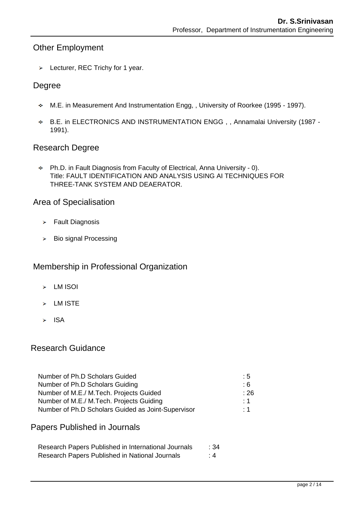# Other Employment

> Lecturer, REC Trichy for 1 year.

#### Degree

- M.E. in Measurement And Instrumentation Engg, , University of Roorkee (1995 1997).
- B.E. in ELECTRONICS AND INSTRUMENTATION ENGG , , Annamalai University (1987 1991).

#### Research Degree

٠ Ph.D. in Fault Diagnosis from Faculty of Electrical, Anna University - 0). Title: FAULT IDENTIFICATION AND ANALYSIS USING AI TECHNIQUES FOR THREE-TANK SYSTEM AND DEAERATOR.

#### Area of Specialisation

- $\triangleright$  Fault Diagnosis
- $\triangleright$  Bio signal Processing

## Membership in Professional Organization

- $\blacktriangleright$  LM ISOI
- $\triangleright$  LM ISTE
- $>$  ISA

## Research Guidance

| Number of Ph.D Scholars Guided                     | : 5       |
|----------------------------------------------------|-----------|
| Number of Ph.D Scholars Guiding                    | : 6       |
| Number of M.E./ M.Tech. Projects Guided            | ∶ 26      |
| Number of M.E./ M.Tech. Projects Guiding           | $\cdot$ 1 |
| Number of Ph.D Scholars Guided as Joint-Supervisor | $\cdot$ 1 |

### Papers Published in Journals

| Research Papers Published in International Journals | :34   |
|-----------------------------------------------------|-------|
| Research Papers Published in National Journals      | : $4$ |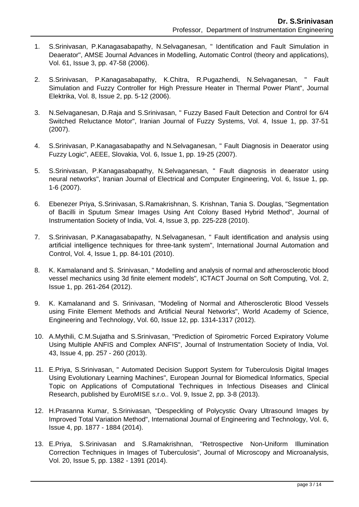- 1. S.Srinivasan, P.Kanagasabapathy, N.Selvaganesan, " Identification and Fault Simulation in Deaerator", AMSE Journal Advances in Modelling, Automatic Control (theory and applications), Vol. 61, Issue 3, pp. 47-58 (2006).
- 2. S.Srinivasan, P.Kanagasabapathy, K.Chitra, R.Pugazhendi, N.Selvaganesan, " Fault Simulation and Fuzzy Controller for High Pressure Heater in Thermal Power Plant", Journal Elektrika, Vol. 8, Issue 2, pp. 5-12 (2006).
- 3. N.Selvaganesan, D.Raja and S.Srinivasan, " Fuzzy Based Fault Detection and Control for 6/4 Switched Reluctance Motor", Iranian Journal of Fuzzy Systems, Vol. 4, Issue 1, pp. 37-51 (2007).
- 4. S.Srinivasan, P.Kanagasabapathy and N.Selvaganesan, " Fault Diagnosis in Deaerator using Fuzzy Logic", AEEE, Slovakia, Vol. 6, Issue 1, pp. 19-25 (2007).
- 5. S.Srinivasan, P.Kanagasabapathy, N.Selvaganesan, " Fault diagnosis in deaerator using neural networks", Iranian Journal of Electrical and Computer Engineering, Vol. 6, Issue 1, pp. 1-6 (2007).
- 6. Ebenezer Priya, S.Srinivasan, S.Ramakrishnan, S. Krishnan, Tania S. Douglas, "Segmentation of Bacilli in Sputum Smear Images Using Ant Colony Based Hybrid Method", Journal of Instrumentation Society of India, Vol. 4, Issue 3, pp. 225-228 (2010).
- 7. S.Srinivasan, P.Kanagasabapathy, N.Selvaganesan, " Fault identification and analysis using artificial intelligence techniques for three-tank system", International Journal Automation and Control, Vol. 4, Issue 1, pp. 84-101 (2010).
- 8. K. Kamalanand and S. Srinivasan, " Modelling and analysis of normal and atherosclerotic blood vessel mechanics using 3d finite element models", ICTACT Journal on Soft Computing, Vol. 2, Issue 1, pp. 261-264 (2012).
- 9. K. Kamalanand and S. Srinivasan, "Modeling of Normal and Atherosclerotic Blood Vessels using Finite Element Methods and Artificial Neural Networks", World Academy of Science, Engineering and Technology, Vol. 60, Issue 12, pp. 1314-1317 (2012).
- 10. A.Mythili, C.M.Sujatha and S.Srinivasan, "Prediction of Spirometric Forced Expiratory Volume Using Multiple ANFIS and Complex ANFIS", Journal of Instrumentation Society of India, Vol. 43, Issue 4, pp. 257 - 260 (2013).
- 11. E.Priya, S.Srinivasan, " Automated Decision Support System for Tuberculosis Digital Images Using Evolutionary Learning Machines", European Journal for Biomedical Informatics, Special Topic on Applications of Computational Techniques in Infectious Diseases and Clinical Research, published by EuroMISE s.r.o.. Vol. 9, Issue 2, pp. 3-8 (2013).
- 12. H.Prasanna Kumar, S.Srinivasan, "Despeckling of Polycystic Ovary Ultrasound Images by Improved Total Variation Method", International Journal of Engineering and Technology, Vol. 6, Issue 4, pp. 1877 - 1884 (2014).
- 13. E.Priya, S.Srinivasan and S.Ramakrishnan, "Retrospective Non-Uniform Illumination Correction Techniques in Images of Tuberculosis", Journal of Microscopy and Microanalysis, Vol. 20, Issue 5, pp. 1382 - 1391 (2014).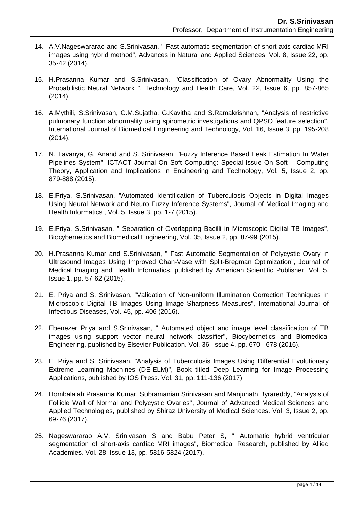- 14. A.V.Nageswararao and S.Srinivasan, " Fast automatic segmentation of short axis cardiac MRI images using hybrid method", Advances in Natural and Applied Sciences, Vol. 8, Issue 22, pp. 35-42 (2014).
- 15. H.Prasanna Kumar and S.Srinivasan, "Classification of Ovary Abnormality Using the Probabilistic Neural Network ", Technology and Health Care, Vol. 22, Issue 6, pp. 857-865 (2014).
- 16. A.Mythili, S.Srinivasan, C.M.Sujatha, G.Kavitha and S.Ramakrishnan, "Analysis of restrictive pulmonary function abnormality using spirometric investigations and QPSO feature selection", International Journal of Biomedical Engineering and Technology, Vol. 16, Issue 3, pp. 195-208 (2014).
- 17. N. Lavanya, G. Anand and S. Srinivasan, "Fuzzy Inference Based Leak Estimation In Water Pipelines System", ICTACT Journal On Soft Computing: Special Issue On Soft – Computing Theory, Application and Implications in Engineering and Technology, Vol. 5, Issue 2, pp. 879-888 (2015).
- 18. E.Priya, S.Srinivasan, "Automated Identification of Tuberculosis Objects in Digital Images Using Neural Network and Neuro Fuzzy Inference Systems", Journal of Medical Imaging and Health Informatics , Vol. 5, Issue 3, pp. 1-7 (2015).
- 19. E.Priya, S.Srinivasan, " Separation of Overlapping Bacilli in Microscopic Digital TB Images", Biocybernetics and Biomedical Engineering, Vol. 35, Issue 2, pp. 87-99 (2015).
- 20. H.Prasanna Kumar and S.Srinivasan, " Fast Automatic Segmentation of Polycystic Ovary in Ultrasound Images Using Improved Chan-Vase with Split-Bregman Optimization", Journal of Medical Imaging and Health Informatics, published by American Scientific Publisher. Vol. 5, Issue 1, pp. 57-62 (2015).
- 21. E. Priya and S. Srinivasan, "Validation of Non-uniform Illumination Correction Techniques in Microscopic Digital TB Images Using Image Sharpness Measures", International Journal of Infectious Diseases, Vol. 45, pp. 406 (2016).
- 22. Ebenezer Priya and S.Srinivasan, " Automated object and image level classification of TB images using support vector neural network classifier", Biocybernetics and Biomedical Engineering, published by Elsevier Publication. Vol. 36, Issue 4, pp. 670 - 678 (2016).
- 23. E. Priya and S. Srinivasan, "Analysis of Tuberculosis Images Using Differential Evolutionary Extreme Learning Machines (DE-ELM)", Book titled Deep Learning for Image Processing Applications, published by IOS Press. Vol. 31, pp. 111-136 (2017).
- 24. Hombalaiah Prasanna Kumar, Subramanian Srinivasan and Manjunath Byrareddy, "Analysis of Follicle Wall of Normal and Polycystic Ovaries", Journal of Advanced Medical Sciences and Applied Technologies, published by Shiraz University of Medical Sciences. Vol. 3, Issue 2, pp. 69-76 (2017).
- 25. Nageswararao A.V, Srinivasan S and Babu Peter S, " Automatic hybrid ventricular segmentation of short-axis cardiac MRI images", Biomedical Research, published by Allied Academies. Vol. 28, Issue 13, pp. 5816-5824 (2017).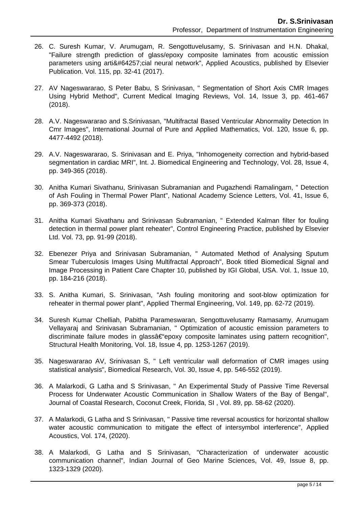- 26. C. Suresh Kumar, V. Arumugam, R. Sengottuvelusamy, S. Srinivasan and H.N. Dhakal, "Failure strength prediction of glass/epoxy composite laminates from acoustic emission parameters using artificial neural network", Applied Acoustics, published by Elsevier Publication. Vol. 115, pp. 32-41 (2017).
- 27. AV Nageswararao, S Peter Babu, S Srinivasan, " Segmentation of Short Axis CMR Images Using Hybrid Method", Current Medical Imaging Reviews, Vol. 14, Issue 3, pp. 461-467 (2018).
- 28. A.V. Nageswararao and S.Srinivasan, "Multifractal Based Ventricular Abnormality Detection In Cmr Images", International Journal of Pure and Applied Mathematics, Vol. 120, Issue 6, pp. 4477-4492 (2018).
- 29. A.V. Nageswararao, S. Srinivasan and E. Priya, "Inhomogeneity correction and hybrid-based segmentation in cardiac MRI", Int. J. Biomedical Engineering and Technology, Vol. 28, Issue 4, pp. 349-365 (2018).
- 30. Anitha Kumari Sivathanu, Srinivasan Subramanian and Pugazhendi Ramalingam, " Detection of Ash Fouling in Thermal Power Plant", National Academy Science Letters, Vol. 41, Issue 6, pp. 369-373 (2018).
- 31. Anitha Kumari Sivathanu and Srinivasan Subramanian, " Extended Kalman filter for fouling detection in thermal power plant reheater", Control Engineering Practice, published by Elsevier Ltd. Vol. 73, pp. 91-99 (2018).
- 32. Ebenezer Priya and Srinivasan Subramanian, " Automated Method of Analysing Sputum Smear Tuberculosis Images Using Multifractal Approach", Book titled Biomedical Signal and Image Processing in Patient Care Chapter 10, published by IGI Global, USA. Vol. 1, Issue 10, pp. 184-216 (2018).
- 33. S. Anitha Kumari, S. Srinivasan, "Ash fouling monitoring and soot-blow optimization for reheater in thermal power plant", Applied Thermal Engineering, Vol. 149, pp. 62-72 (2019).
- 34. Suresh Kumar Chelliah, Pabitha Parameswaran, Sengottuvelusamy Ramasamy, Arumugam Vellayaraj and Srinivasan Subramanian, " Optimization of acoustic emission parameters to discriminate failure modes in glass†epoxy composite laminates using pattern recognition", Structural Health Monitoring, Vol. 18, Issue 4, pp. 1253-1267 (2019).
- 35. Nageswararao AV, Srinivasan S, " Left ventricular wall deformation of CMR images using statistical analysis", Biomedical Research, Vol. 30, Issue 4, pp. 546-552 (2019).
- 36. A Malarkodi, G Latha and S Srinivasan, " An Experimental Study of Passive Time Reversal Process for Underwater Acoustic Communication in Shallow Waters of the Bay of Bengal", Journal of Coastal Research, Coconut Creek, Florida, SI , Vol. 89, pp. 58-62 (2020).
- 37. A Malarkodi, G Latha and S Srinivasan, " Passive time reversal acoustics for horizontal shallow water acoustic communication to mitigate the effect of intersymbol interference", Applied Acoustics, Vol. 174, (2020).
- 38. A Malarkodi, G Latha and S Srinivasan, "Characterization of underwater acoustic communication channel", Indian Journal of Geo Marine Sciences, Vol. 49, Issue 8, pp. 1323-1329 (2020).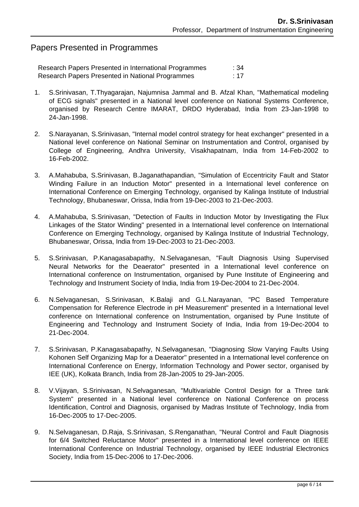## Papers Presented in Programmes

| Research Papers Presented in International Programmes | :34 |
|-------------------------------------------------------|-----|
| Research Papers Presented in National Programmes      | :17 |

- 1. S.Srinivasan, T.Thyagarajan, Najumnisa Jammal and B. Afzal Khan, "Mathematical modeling of ECG signals" presented in a National level conference on National Systems Conference, organised by Research Centre IMARAT, DRDO Hyderabad, India from 23-Jan-1998 to 24-Jan-1998.
- 2. S.Narayanan, S.Srinivasan, "Internal model control strategy for heat exchanger" presented in a National level conference on National Seminar on Instrumentation and Control, organised by College of Engineering, Andhra University, Visakhapatnam, India from 14-Feb-2002 to 16-Feb-2002.
- 3. A.Mahabuba, S.Srinivasan, B.Jaganathapandian, "Simulation of Eccentricity Fault and Stator Winding Failure in an Induction Motor" presented in a International level conference on International Conference on Emerging Technology, organised by Kalinga Institute of Industrial Technology, Bhubaneswar, Orissa, India from 19-Dec-2003 to 21-Dec-2003.
- 4. A.Mahabuba, S.Srinivasan, "Detection of Faults in Induction Motor by Investigating the Flux Linkages of the Stator Winding" presented in a International level conference on International Conference on Emerging Technology, organised by Kalinga Institute of Industrial Technology, Bhubaneswar, Orissa, India from 19-Dec-2003 to 21-Dec-2003.
- 5. S.Srinivasan, P.Kanagasabapathy, N.Selvaganesan, "Fault Diagnosis Using Supervised Neural Networks for the Deaerator" presented in a International level conference on International conference on Instrumentation, organised by Pune Institute of Engineering and Technology and Instrument Society of India, India from 19-Dec-2004 to 21-Dec-2004.
- 6. N.Selvaganesan, S.Srinivasan, K.Balaji and G.L.Narayanan, "PC Based Temperature Compensation for Reference Electrode in pH Measurement" presented in a International level conference on International conference on Instrumentation, organised by Pune Institute of Engineering and Technology and Instrument Society of India, India from 19-Dec-2004 to 21-Dec-2004.
- 7. S.Srinivasan, P.Kanagasabapathy, N.Selvaganesan, "Diagnosing Slow Varying Faults Using Kohonen Self Organizing Map for a Deaerator" presented in a International level conference on International Conference on Energy, Information Technology and Power sector, organised by IEE (UK), Kolkata Branch, India from 28-Jan-2005 to 29-Jan-2005.
- 8. V.Vijayan, S.Srinivasan, N.Selvaganesan, "Multivariable Control Design for a Three tank System" presented in a National level conference on National Conference on process Identification, Control and Diagnosis, organised by Madras Institute of Technology, India from 16-Dec-2005 to 17-Dec-2005.
- 9. N.Selvaganesan, D.Raja, S.Srinivasan, S.Renganathan, "Neural Control and Fault Diagnosis for 6/4 Switched Reluctance Motor" presented in a International level conference on IEEE International Conference on Industrial Technology, organised by IEEE Industrial Electronics Society, India from 15-Dec-2006 to 17-Dec-2006.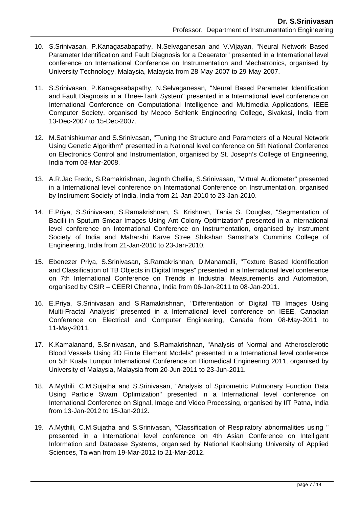- 10. S.Srinivasan, P.Kanagasabapathy, N.Selvaganesan and V.Vijayan, "Neural Network Based Parameter Identification and Fault Diagnosis for a Deaerator" presented in a International level conference on International Conference on Instrumentation and Mechatronics, organised by University Technology, Malaysia, Malaysia from 28-May-2007 to 29-May-2007.
- 11. S.Srinivasan, P.Kanagasabapathy, N.Selvaganesan, "Neural Based Parameter Identification and Fault Diagnosis in a Three-Tank System" presented in a International level conference on International Conference on Computational Intelligence and Multimedia Applications, IEEE Computer Society, organised by Mepco Schlenk Engineering College, Sivakasi, India from 13-Dec-2007 to 15-Dec-2007.
- 12. M.Sathishkumar and S.Srinivasan, "Tuning the Structure and Parameters of a Neural Network Using Genetic Algorithm" presented in a National level conference on 5th National Conference on Electronics Control and Instrumentation, organised by St. Joseph's College of Engineering, India from 03-Mar-2008.
- 13. A.R.Jac Fredo, S.Ramakrishnan, Jaginth Chellia, S.Srinivasan, "Virtual Audiometer" presented in a International level conference on International Conference on Instrumentation, organised by Instrument Society of India, India from 21-Jan-2010 to 23-Jan-2010.
- 14. E.Priya, S.Srinivasan, S.Ramakrishnan, S. Krishnan, Tania S. Douglas, "Segmentation of Bacilli in Sputum Smear Images Using Ant Colony Optimization" presented in a International level conference on International Conference on Instrumentation, organised by Instrument Society of India and Maharshi Karve Stree Shikshan Samstha's Cummins College of Engineering, India from 21-Jan-2010 to 23-Jan-2010.
- 15. Ebenezer Priya, S.Srinivasan, S.Ramakrishnan, D.Manamalli, "Texture Based Identification and Classification of TB Objects in Digital Images" presented in a International level conference on 7th International Conference on Trends in Industrial Measurements and Automation, organised by CSIR – CEERI Chennai, India from 06-Jan-2011 to 08-Jan-2011.
- 16. E.Priya, S.Srinivasan and S.Ramakrishnan, "Differentiation of Digital TB Images Using Multi-Fractal Analysis" presented in a International level conference on IEEE, Canadian Conference on Electrical and Computer Engineering, Canada from 08-May-2011 to 11-May-2011.
- 17. K.Kamalanand, S.Srinivasan, and S.Ramakrishnan, "Analysis of Normal and Atherosclerotic Blood Vessels Using 2D Finite Element Models" presented in a International level conference on 5th Kuala Lumpur International Conference on Biomedical Engineering 2011, organised by University of Malaysia, Malaysia from 20-Jun-2011 to 23-Jun-2011.
- 18. A.Mythili, C.M.Sujatha and S.Srinivasan, "Analysis of Spirometric Pulmonary Function Data Using Particle Swam Optimization" presented in a International level conference on International Conference on Signal, Image and Video Processing, organised by IIT Patna, India from 13-Jan-2012 to 15-Jan-2012.
- 19. A.Mythili, C.M.Sujatha and S.Srinivasan, "Classification of Respiratory abnormalities using " presented in a International level conference on 4th Asian Conference on Intelligent Information and Database Systems, organised by National Kaohsiung University of Applied Sciences, Taiwan from 19-Mar-2012 to 21-Mar-2012.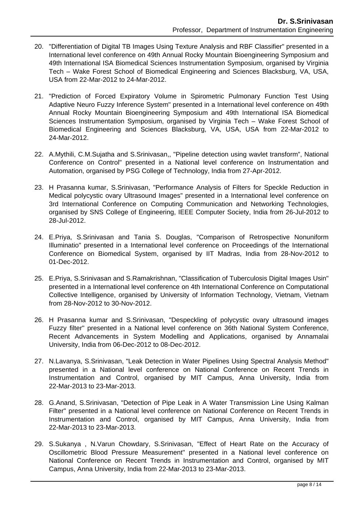- 20. "Differentiation of Digital TB Images Using Texture Analysis and RBF Classifier" presented in a International level conference on 49th Annual Rocky Mountain Bioengineering Symposium and 49th International ISA Biomedical Sciences Instrumentation Symposium, organised by Virginia Tech – Wake Forest School of Biomedical Engineering and Sciences Blacksburg, VA, USA, USA from 22-Mar-2012 to 24-Mar-2012.
- 21. "Prediction of Forced Expiratory Volume in Spirometric Pulmonary Function Test Using Adaptive Neuro Fuzzy Inference System" presented in a International level conference on 49th Annual Rocky Mountain Bioengineering Symposium and 49th International ISA Biomedical Sciences Instrumentation Symposium, organised by Virginia Tech – Wake Forest School of Biomedical Engineering and Sciences Blacksburg, VA, USA, USA from 22-Mar-2012 to 24-Mar-2012.
- 22. A.Mythili, C.M.Sujatha and S.Srinivasan,, "Pipeline detection using wavlet transform", National Conference on Control" presented in a National level conference on Instrumentation and Automation, organised by PSG College of Technology, India from 27-Apr-2012.
- 23. H Prasanna kumar, S.Srinivasan, "Performance Analysis of Filters for Speckle Reduction in Medical polycystic ovary Ultrasound Images" presented in a International level conference on 3rd International Conference on Computing Communication and Networking Technologies, organised by SNS College of Engineering, IEEE Computer Society, India from 26-Jul-2012 to 28-Jul-2012.
- 24. E.Priya, S.Srinivasan and Tania S. Douglas, "Comparison of Retrospective Nonuniform Illuminatio" presented in a International level conference on Proceedings of the International Conference on Biomedical System, organised by IIT Madras, India from 28-Nov-2012 to 01-Dec-2012.
- 25. E.Priya, S.Srinivasan and S.Ramakrishnan, "Classification of Tuberculosis Digital Images Usin" presented in a International level conference on 4th International Conference on Computational Collective Intelligence, organised by University of Information Technology, Vietnam, Vietnam from 28-Nov-2012 to 30-Nov-2012.
- 26. H Prasanna kumar and S.Srinivasan, "Despeckling of polycystic ovary ultrasound images Fuzzy filter" presented in a National level conference on 36th National System Conference, Recent Advancements in System Modelling and Applications, organised by Annamalai University, India from 06-Dec-2012 to 08-Dec-2012.
- 27. N.Lavanya, S.Srinivasan, "Leak Detection in Water Pipelines Using Spectral Analysis Method" presented in a National level conference on National Conference on Recent Trends in Instrumentation and Control, organised by MIT Campus, Anna University, India from 22-Mar-2013 to 23-Mar-2013.
- 28. G.Anand, S.Srinivasan, "Detection of Pipe Leak in A Water Transmission Line Using Kalman Filter" presented in a National level conference on National Conference on Recent Trends in Instrumentation and Control, organised by MIT Campus, Anna University, India from 22-Mar-2013 to 23-Mar-2013.
- 29. S.Sukanya , N.Varun Chowdary, S.Srinivasan, "Effect of Heart Rate on the Accuracy of Oscillometric Blood Pressure Measurement" presented in a National level conference on National Conference on Recent Trends in Instrumentation and Control, organised by MIT Campus, Anna University, India from 22-Mar-2013 to 23-Mar-2013.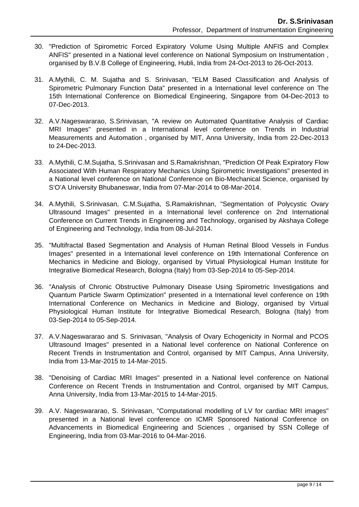- 30. "Prediction of Spirometric Forced Expiratory Volume Using Multiple ANFIS and Complex ANFIS" presented in a National level conference on National Symposium on Instrumentation , organised by B.V.B College of Engineering, Hubli, India from 24-Oct-2013 to 26-Oct-2013.
- 31. A.Mythili, C. M. Sujatha and S. Srinivasan, "ELM Based Classification and Analysis of Spirometric Pulmonary Function Data" presented in a International level conference on The 15th International Conference on Biomedical Engineering, Singapore from 04-Dec-2013 to 07-Dec-2013.
- 32. A.V.Nageswararao, S.Srinivasan, "A review on Automated Quantitative Analysis of Cardiac MRI Images" presented in a International level conference on Trends in Industrial Measurements and Automation , organised by MIT, Anna University, India from 22-Dec-2013 to 24-Dec-2013.
- 33. A.Mythili, C.M.Sujatha, S.Srinivasan and S.Ramakrishnan, "Prediction Of Peak Expiratory Flow Associated With Human Respiratory Mechanics Using Spirometric Investigations" presented in a National level conference on National Conference on Bio-Mechanical Science, organised by S'O'A University Bhubaneswar, India from 07-Mar-2014 to 08-Mar-2014.
- 34. A.Mythili, S.Srinivasan, C.M.Sujatha, S.Ramakrishnan, "Segmentation of Polycystic Ovary Ultrasound Images" presented in a International level conference on 2nd International Conference on Current Trends in Engineering and Technology, organised by Akshaya College of Engineering and Technology, India from 08-Jul-2014.
- 35. "Multifractal Based Segmentation and Analysis of Human Retinal Blood Vessels in Fundus Images" presented in a International level conference on 19th International Conference on Mechanics in Medicine and Biology, organised by Virtual Physiological Human Institute for Integrative Biomedical Research, Bologna (Italy) from 03-Sep-2014 to 05-Sep-2014.
- 36. "Analysis of Chronic Obstructive Pulmonary Disease Using Spirometric Investigations and Quantum Particle Swarm Optimization" presented in a International level conference on 19th International Conference on Mechanics in Medicine and Biology, organised by Virtual Physiological Human Institute for Integrative Biomedical Research, Bologna (Italy) from 03-Sep-2014 to 05-Sep-2014.
- 37. A.V.Nageswararao and S. Srinivasan, "Analysis of Ovary Echogenicity in Normal and PCOS Ultrasound Images" presented in a National level conference on National Conference on Recent Trends in Instrumentation and Control, organised by MIT Campus, Anna University, India from 13-Mar-2015 to 14-Mar-2015.
- 38. "Denoising of Cardiac MRI Images" presented in a National level conference on National Conference on Recent Trends in Instrumentation and Control, organised by MIT Campus, Anna University, India from 13-Mar-2015 to 14-Mar-2015.
- 39. A.V. Nageswararao, S. Srinivasan, "Computational modelling of LV for cardiac MRI images" presented in a National level conference on ICMR Sponsored National Conference on Advancements in Biomedical Engineering and Sciences , organised by SSN College of Engineering, India from 03-Mar-2016 to 04-Mar-2016.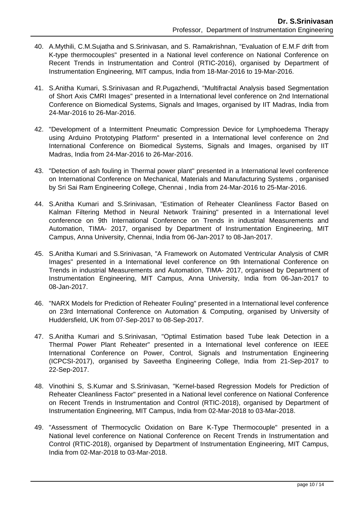- 40. A.Mythili, C.M.Sujatha and S.Srinivasan, and S. Ramakrishnan, "Evaluation of E.M.F drift from K-type thermocouples" presented in a National level conference on National Conference on Recent Trends in Instrumentation and Control (RTIC-2016), organised by Department of Instrumentation Engineering, MIT campus, India from 18-Mar-2016 to 19-Mar-2016.
- 41. S.Anitha Kumari, S.Srinivasan and R.Pugazhendi, "Multifractal Analysis based Segmentation of Short Axis CMRI Images" presented in a International level conference on 2nd International Conference on Biomedical Systems, Signals and Images, organised by IIT Madras, India from 24-Mar-2016 to 26-Mar-2016.
- 42. "Development of a Intermittent Pneumatic Compression Device for Lymphoedema Therapy using Arduino Prototyping Platform" presented in a International level conference on 2nd International Conference on Biomedical Systems, Signals and Images, organised by IIT Madras, India from 24-Mar-2016 to 26-Mar-2016.
- 43. "Detection of ash fouling in Thermal power plant" presented in a International level conference on International Conference on Mechanical, Materials and Manufacturing Systems , organised by Sri Sai Ram Engineering College, Chennai , India from 24-Mar-2016 to 25-Mar-2016.
- 44. S.Anitha Kumari and S.Srinivasan, "Estimation of Reheater Cleanliness Factor Based on Kalman Filtering Method in Neural Network Training" presented in a International level conference on 9th International Conference on Trends in industrial Measurements and Automation, TIMA- 2017, organised by Department of Instrumentation Engineering, MIT Campus, Anna University, Chennai, India from 06-Jan-2017 to 08-Jan-2017.
- 45. S.Anitha Kumari and S.Srinivasan, "A Framework on Automated Ventricular Analysis of CMR Images" presented in a International level conference on 9th International Conference on Trends in industrial Measurements and Automation, TIMA- 2017, organised by Department of Instrumentation Engineering, MIT Campus, Anna University, India from 06-Jan-2017 to 08-Jan-2017.
- 46. "NARX Models for Prediction of Reheater Fouling" presented in a International level conference on 23rd International Conference on Automation & Computing, organised by University of Huddersfield, UK from 07-Sep-2017 to 08-Sep-2017.
- 47. S.Anitha Kumari and S.Srinivasan, "Optimal Estimation based Tube leak Detection in a Thermal Power Plant Reheater" presented in a International level conference on IEEE International Conference on Power, Control, Signals and Instrumentation Engineering (ICPCSI-2017), organised by Saveetha Engineering College, India from 21-Sep-2017 to 22-Sep-2017.
- 48. Vinothini S, S.Kumar and S.Srinivasan, "Kernel-based Regression Models for Prediction of Reheater Cleanliness Factor" presented in a National level conference on National Conference on Recent Trends in Instrumentation and Control (RTIC-2018), organised by Department of Instrumentation Engineering, MIT Campus, India from 02-Mar-2018 to 03-Mar-2018.
- 49. "Assessment of Thermocyclic Oxidation on Bare K-Type Thermocouple" presented in a National level conference on National Conference on Recent Trends in Instrumentation and Control (RTIC-2018), organised by Department of Instrumentation Engineering, MIT Campus, India from 02-Mar-2018 to 03-Mar-2018.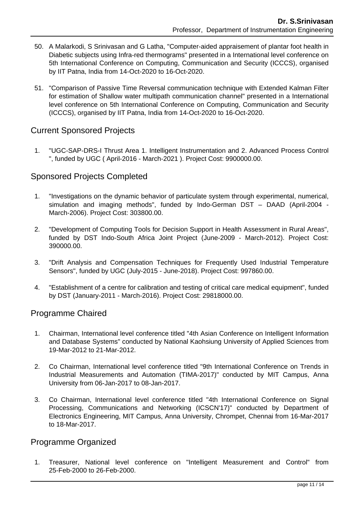- 50. A Malarkodi, S Srinivasan and G Latha, "Computer-aided appraisement of plantar foot health in Diabetic subjects using Infra-red thermograms" presented in a International level conference on 5th International Conference on Computing, Communication and Security (ICCCS), organised by IIT Patna, India from 14-Oct-2020 to 16-Oct-2020.
- 51. "Comparison of Passive Time Reversal communication technique with Extended Kalman Filter for estimation of Shallow water multipath communication channel" presented in a International level conference on 5th International Conference on Computing, Communication and Security (ICCCS), organised by IIT Patna, India from 14-Oct-2020 to 16-Oct-2020.

## Current Sponsored Projects

 1. "UGC-SAP-DRS-I Thrust Area 1. Intelligent Instrumentation and 2. Advanced Process Control ", funded by UGC ( April-2016 - March-2021 ). Project Cost: 9900000.00.

## Sponsored Projects Completed

- 1. "Investigations on the dynamic behavior of particulate system through experimental, numerical, simulation and imaging methods", funded by Indo-German DST – DAAD (April-2004 - March-2006). Project Cost: 303800.00.
- 2. "Development of Computing Tools for Decision Support in Health Assessment in Rural Areas", funded by DST Indo-South Africa Joint Project (June-2009 - March-2012). Project Cost: 390000.00.
- 3. "Drift Analysis and Compensation Techniques for Frequently Used Industrial Temperature Sensors", funded by UGC (July-2015 - June-2018). Project Cost: 997860.00.
- 4. "Establishment of a centre for calibration and testing of critical care medical equipment", funded by DST (January-2011 - March-2016). Project Cost: 29818000.00.

## Programme Chaired

- 1. Chairman, International level conference titled "4th Asian Conference on Intelligent Information and Database Systems" conducted by National Kaohsiung University of Applied Sciences from 19-Mar-2012 to 21-Mar-2012.
- 2. Co Chairman, International level conference titled "9th International Conference on Trends in Industrial Measurements and Automation (TIMA-2017)" conducted by MIT Campus, Anna University from 06-Jan-2017 to 08-Jan-2017.
- 3. Co Chairman, International level conference titled "4th International Conference on Signal Processing, Communications and Networking (ICSCN'17)" conducted by Department of Electronics Engineering, MIT Campus, Anna University, Chrompet, Chennai from 16-Mar-2017 to 18-Mar-2017.

## Programme Organized

 1. Treasurer, National level conference on "Intelligent Measurement and Control" from 25-Feb-2000 to 26-Feb-2000.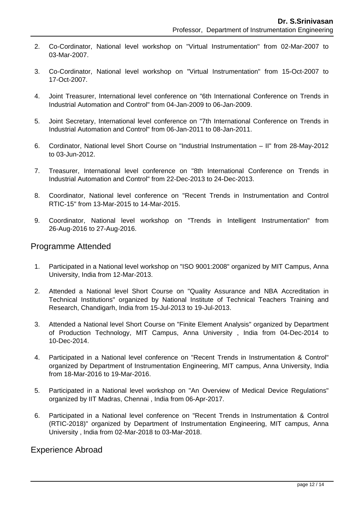- 2. Co-Cordinator, National level workshop on "Virtual Instrumentation" from 02-Mar-2007 to 03-Mar-2007.
- 3. Co-Cordinator, National level workshop on "Virtual Instrumentation" from 15-Oct-2007 to 17-Oct-2007.
- 4. Joint Treasurer, International level conference on "6th International Conference on Trends in Industrial Automation and Control" from 04-Jan-2009 to 06-Jan-2009.
- 5. Joint Secretary, International level conference on "7th International Conference on Trends in Industrial Automation and Control" from 06-Jan-2011 to 08-Jan-2011.
- 6. Cordinator, National level Short Course on "Industrial Instrumentation II" from 28-May-2012 to 03-Jun-2012.
- 7. Treasurer, International level conference on "8th International Conference on Trends in Industrial Automation and Control" from 22-Dec-2013 to 24-Dec-2013.
- 8. Coordinator, National level conference on "Recent Trends in Instrumentation and Control RTIC-15" from 13-Mar-2015 to 14-Mar-2015.
- 9. Coordinator, National level workshop on "Trends in Intelligent Instrumentation" from 26-Aug-2016 to 27-Aug-2016.

#### Programme Attended

- 1. Participated in a National level workshop on "ISO 9001:2008" organized by MIT Campus, Anna University, India from 12-Mar-2013.
- 2. Attended a National level Short Course on "Quality Assurance and NBA Accreditation in Technical Institutions" organized by National Institute of Technical Teachers Training and Research, Chandigarh, India from 15-Jul-2013 to 19-Jul-2013.
- 3. Attended a National level Short Course on "Finite Element Analysis" organized by Department of Production Technology, MIT Campus, Anna University , India from 04-Dec-2014 to 10-Dec-2014.
- 4. Participated in a National level conference on "Recent Trends in Instrumentation & Control" organized by Department of Instrumentation Engineering, MIT campus, Anna University, India from 18-Mar-2016 to 19-Mar-2016.
- 5. Participated in a National level workshop on "An Overview of Medical Device Regulations" organized by IIT Madras, Chennai , India from 06-Apr-2017.
- 6. Participated in a National level conference on "Recent Trends in Instrumentation & Control (RTIC-2018)" organized by Department of Instrumentation Engineering, MIT campus, Anna University , India from 02-Mar-2018 to 03-Mar-2018.

#### Experience Abroad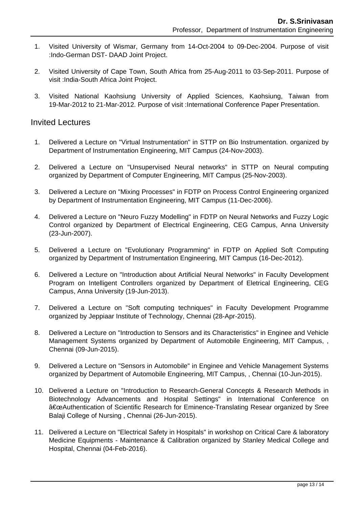- 1. Visited University of Wismar, Germany from 14-Oct-2004 to 09-Dec-2004. Purpose of visit :Indo-German DST- DAAD Joint Project.
- 2. Visited University of Cape Town, South Africa from 25-Aug-2011 to 03-Sep-2011. Purpose of visit :India-South Africa Joint Project.
- 3. Visited National Kaohsiung University of Applied Sciences, Kaohsiung, Taiwan from 19-Mar-2012 to 21-Mar-2012. Purpose of visit :International Conference Paper Presentation.

#### Invited Lectures

- 1. Delivered a Lecture on "Virtual Instrumentation" in STTP on Bio Instrumentation. organized by Department of Instrumentation Engineering, MIT Campus (24-Nov-2003).
- 2. Delivered a Lecture on "Unsupervised Neural networks" in STTP on Neural computing organized by Department of Computer Engineering, MIT Campus (25-Nov-2003).
- 3. Delivered a Lecture on "Mixing Processes" in FDTP on Process Control Engineering organized by Department of Instrumentation Engineering, MIT Campus (11-Dec-2006).
- 4. Delivered a Lecture on "Neuro Fuzzy Modelling" in FDTP on Neural Networks and Fuzzy Logic Control organized by Department of Electrical Engineering, CEG Campus, Anna University (23-Jun-2007).
- 5. Delivered a Lecture on "Evolutionary Programming" in FDTP on Applied Soft Computing organized by Department of Instrumentation Engineering, MIT Campus (16-Dec-2012).
- 6. Delivered a Lecture on "Introduction about Artificial Neural Networks" in Faculty Development Program on Intelligent Controllers organized by Department of Eletrical Engineering, CEG Campus, Anna University (19-Jun-2013).
- 7. Delivered a Lecture on "Soft computing techniques" in Faculty Development Programme organized by Jeppiaar Institute of Technology, Chennai (28-Apr-2015).
- 8. Delivered a Lecture on "Introduction to Sensors and its Characteristics" in Enginee and Vehicle Management Systems organized by Department of Automobile Engineering, MIT Campus, , Chennai (09-Jun-2015).
- 9. Delivered a Lecture on "Sensors in Automobile" in Enginee and Vehicle Management Systems organized by Department of Automobile Engineering, MIT Campus, , Chennai (10-Jun-2015).
- 10. Delivered a Lecture on "Introduction to Research-General Concepts & Research Methods in Biotechnology Advancements and Hospital Settings" in International Conference on "Authentication of Scientific Research for Eminence-Translating Resear organized by Sree Balaji College of Nursing , Chennai (26-Jun-2015).
- 11. Delivered a Lecture on "Electrical Safety in Hospitals" in workshop on Critical Care & laboratory Medicine Equipments - Maintenance & Calibration organized by Stanley Medical College and Hospital, Chennai (04-Feb-2016).